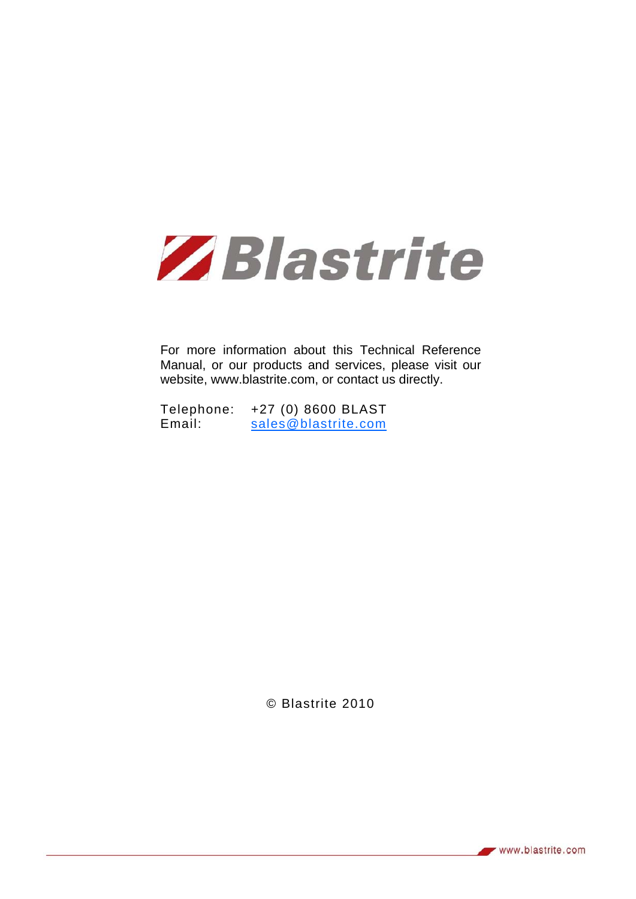

For more information about this Technical Reference Manual, or our products and services, please visit our website, www.blastrite.com, or contact us directly.

Telephone: +27 (0) 8600 BLAST Email: sales@blastrite.com

© Blastrite 2010

www.blastrite.com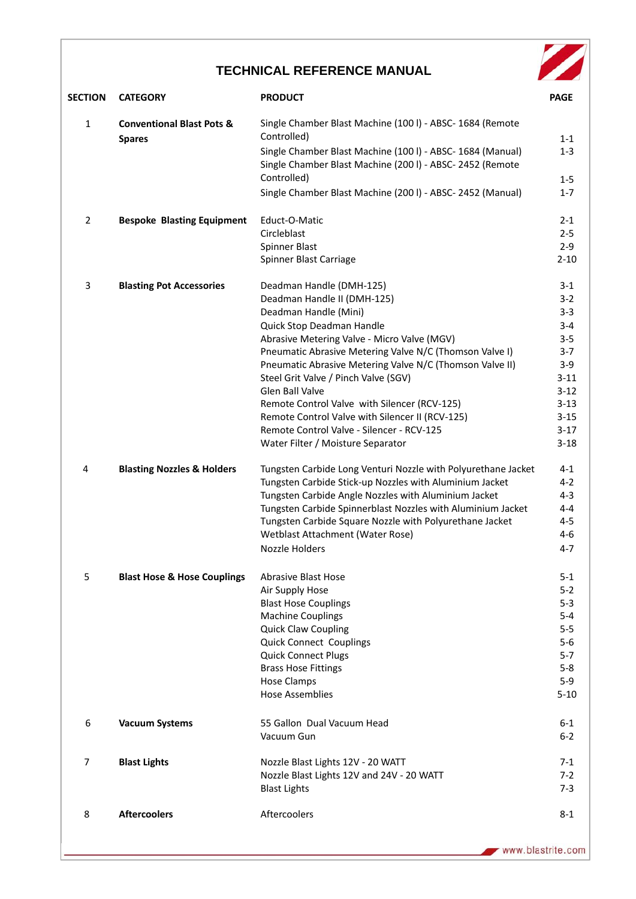## **TECHNICAL REFERENCE MANUAL**



| <b>SECTION</b> | <b>CATEGORY</b>                                       | <b>PRODUCT</b>                                                                                                        | <b>PAGE</b>        |
|----------------|-------------------------------------------------------|-----------------------------------------------------------------------------------------------------------------------|--------------------|
| $\mathbf{1}$   | <b>Conventional Blast Pots &amp;</b><br><b>Spares</b> | Single Chamber Blast Machine (100 l) - ABSC- 1684 (Remote<br>Controlled)                                              | $1 - 1$            |
|                |                                                       | Single Chamber Blast Machine (100 l) - ABSC- 1684 (Manual)<br>Single Chamber Blast Machine (2001) - ABSC-2452 (Remote | $1 - 3$            |
|                |                                                       | Controlled)                                                                                                           | $1 - 5$            |
|                |                                                       | Single Chamber Blast Machine (2001) - ABSC-2452 (Manual)                                                              | $1 - 7$            |
| $\overline{2}$ | <b>Bespoke Blasting Equipment</b>                     | Educt-O-Matic                                                                                                         | $2 - 1$            |
|                |                                                       | Circleblast                                                                                                           | $2 - 5$            |
|                |                                                       | Spinner Blast<br>Spinner Blast Carriage                                                                               | $2-9$<br>$2 - 10$  |
| 3              | <b>Blasting Pot Accessories</b>                       | Deadman Handle (DMH-125)                                                                                              | $3 - 1$            |
|                |                                                       | Deadman Handle II (DMH-125)                                                                                           | $3 - 2$            |
|                |                                                       | Deadman Handle (Mini)                                                                                                 | $3 - 3$            |
|                |                                                       | Quick Stop Deadman Handle                                                                                             | $3 - 4$            |
|                |                                                       | Abrasive Metering Valve - Micro Valve (MGV)                                                                           | $3 - 5$            |
|                |                                                       | Pneumatic Abrasive Metering Valve N/C (Thomson Valve I)<br>Pneumatic Abrasive Metering Valve N/C (Thomson Valve II)   | $3 - 7$            |
|                |                                                       | Steel Grit Valve / Pinch Valve (SGV)                                                                                  | $3-9$<br>$3 - 11$  |
|                |                                                       | <b>Glen Ball Valve</b>                                                                                                | $3 - 12$           |
|                |                                                       | Remote Control Valve with Silencer (RCV-125)                                                                          | $3 - 13$           |
|                |                                                       | Remote Control Valve with Silencer II (RCV-125)                                                                       | $3 - 15$           |
|                |                                                       | Remote Control Valve - Silencer - RCV-125                                                                             | $3-17$             |
|                |                                                       | Water Filter / Moisture Separator                                                                                     | $3 - 18$           |
| 4              | <b>Blasting Nozzles &amp; Holders</b>                 | Tungsten Carbide Long Venturi Nozzle with Polyurethane Jacket                                                         | $4 - 1$            |
|                |                                                       | Tungsten Carbide Stick-up Nozzles with Aluminium Jacket                                                               | $4 - 2$            |
|                |                                                       | Tungsten Carbide Angle Nozzles with Aluminium Jacket<br>Tungsten Carbide Spinnerblast Nozzles with Aluminium Jacket   | $4 - 3$<br>$4 - 4$ |
|                |                                                       | Tungsten Carbide Square Nozzle with Polyurethane Jacket                                                               | $4 - 5$            |
|                |                                                       | Wetblast Attachment (Water Rose)                                                                                      | $4 - 6$            |
|                |                                                       | <b>Nozzle Holders</b>                                                                                                 | $4 - 7$            |
| 5              | <b>Blast Hose &amp; Hose Couplings</b>                | <b>Abrasive Blast Hose</b>                                                                                            | $5 - 1$            |
|                |                                                       | Air Supply Hose                                                                                                       | $5 - 2$            |
|                |                                                       | <b>Blast Hose Couplings</b>                                                                                           | $5 - 3$            |
|                |                                                       | <b>Machine Couplings</b>                                                                                              | 5-4                |
|                |                                                       | <b>Quick Claw Coupling</b><br><b>Quick Connect Couplings</b>                                                          | $5 - 5$<br>$5-6$   |
|                |                                                       | <b>Quick Connect Plugs</b>                                                                                            | 5-7                |
|                |                                                       | <b>Brass Hose Fittings</b>                                                                                            | $5 - 8$            |
|                |                                                       | <b>Hose Clamps</b>                                                                                                    | $5-9$              |
|                |                                                       | <b>Hose Assemblies</b>                                                                                                | $5 - 10$           |
| 6              | <b>Vacuum Systems</b>                                 | 55 Gallon Dual Vacuum Head                                                                                            | $6-1$              |
|                |                                                       | Vacuum Gun                                                                                                            | $6 - 2$            |
| 7              | <b>Blast Lights</b>                                   | Nozzle Blast Lights 12V - 20 WATT                                                                                     | 7-1                |
|                |                                                       | Nozzle Blast Lights 12V and 24V - 20 WATT                                                                             | $7-2$              |
|                |                                                       | <b>Blast Lights</b>                                                                                                   | $7-3$              |
| 8              | <b>Aftercoolers</b>                                   | Aftercoolers                                                                                                          | $8 - 1$            |
|                |                                                       |                                                                                                                       |                    |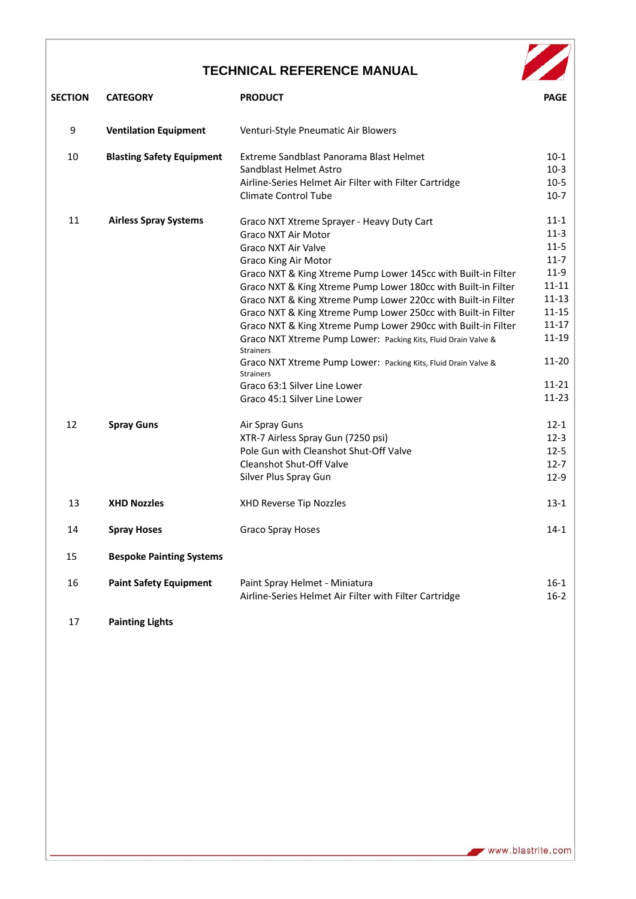## **TECHNICAL REFERENCE MANUAL**

| <b>TECHNICAL REFERENCE MANUAL</b> |                                  |                                                                                                                                                     |                    |  |  |  |
|-----------------------------------|----------------------------------|-----------------------------------------------------------------------------------------------------------------------------------------------------|--------------------|--|--|--|
| <b>SECTION</b>                    | <b>CATEGORY</b>                  | <b>PRODUCT</b>                                                                                                                                      | <b>PAGE</b>        |  |  |  |
| 9                                 | <b>Ventilation Equipment</b>     | Venturi-Style Pneumatic Air Blowers                                                                                                                 |                    |  |  |  |
| 10                                | <b>Blasting Safety Equipment</b> | Extreme Sandblast Panorama Blast Helmet                                                                                                             | $10-1$             |  |  |  |
|                                   |                                  | Sandblast Helmet Astro                                                                                                                              | $10-3$             |  |  |  |
|                                   |                                  | Airline-Series Helmet Air Filter with Filter Cartridge                                                                                              | $10-5$             |  |  |  |
|                                   |                                  | <b>Climate Control Tube</b>                                                                                                                         | $10-7$             |  |  |  |
| 11                                | <b>Airless Spray Systems</b>     | Graco NXT Xtreme Sprayer - Heavy Duty Cart                                                                                                          | $11 - 1$           |  |  |  |
|                                   |                                  | <b>Graco NXT Air Motor</b>                                                                                                                          | $11-3$             |  |  |  |
|                                   |                                  | <b>Graco NXT Air Valve</b>                                                                                                                          | $11-5$             |  |  |  |
|                                   |                                  | <b>Graco King Air Motor</b>                                                                                                                         | $11 - 7$           |  |  |  |
|                                   |                                  | Graco NXT & King Xtreme Pump Lower 145cc with Built-in Filter                                                                                       | $11-9$             |  |  |  |
|                                   |                                  | Graco NXT & King Xtreme Pump Lower 180cc with Built-in Filter                                                                                       | $11 - 11$          |  |  |  |
|                                   |                                  | Graco NXT & King Xtreme Pump Lower 220cc with Built-in Filter                                                                                       | 11-13<br>$11 - 15$ |  |  |  |
|                                   |                                  | Graco NXT & King Xtreme Pump Lower 250cc with Built-in Filter                                                                                       | $11 - 17$          |  |  |  |
|                                   |                                  | Graco NXT & King Xtreme Pump Lower 290cc with Built-in Filter<br>Graco NXT Xtreme Pump Lower: Packing Kits, Fluid Drain Valve &<br><b>Strainers</b> | 11-19              |  |  |  |
|                                   |                                  | Graco NXT Xtreme Pump Lower: Packing Kits, Fluid Drain Valve &<br><b>Strainers</b>                                                                  | $11 - 20$          |  |  |  |
|                                   |                                  | Graco 63:1 Silver Line Lower                                                                                                                        | $11 - 21$          |  |  |  |
|                                   |                                  | Graco 45:1 Silver Line Lower                                                                                                                        | 11-23              |  |  |  |
| 12                                | <b>Spray Guns</b>                | Air Spray Guns                                                                                                                                      | $12 - 1$           |  |  |  |
|                                   |                                  | XTR-7 Airless Spray Gun (7250 psi)                                                                                                                  | $12-3$             |  |  |  |
|                                   |                                  | Pole Gun with Cleanshot Shut-Off Valve                                                                                                              | $12 - 5$           |  |  |  |
|                                   |                                  | Cleanshot Shut-Off Valve                                                                                                                            | $12 - 7$           |  |  |  |
|                                   |                                  | Silver Plus Spray Gun                                                                                                                               | $12-9$             |  |  |  |
| 13                                | <b>XHD Nozzles</b>               | <b>XHD Reverse Tip Nozzles</b>                                                                                                                      | $13-1$             |  |  |  |
| 14                                | <b>Spray Hoses</b>               | Graco Spray Hoses                                                                                                                                   | $14-1$             |  |  |  |
| 15                                | <b>Bespoke Painting Systems</b>  |                                                                                                                                                     |                    |  |  |  |
| 16                                | <b>Paint Safety Equipment</b>    | Paint Spray Helmet - Miniatura<br>Airline-Series Helmet Air Filter with Filter Cartridge                                                            | $16-1$<br>$16 - 2$ |  |  |  |
| 17                                | <b>Painting Lights</b>           |                                                                                                                                                     |                    |  |  |  |

www.blastrite.com